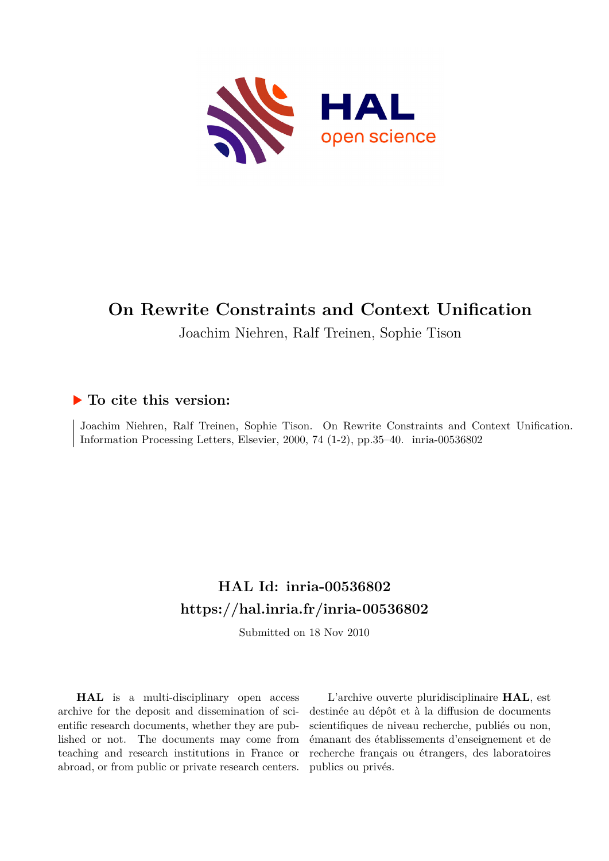

# **On Rewrite Constraints and Context Unification**

Joachim Niehren, Ralf Treinen, Sophie Tison

## **To cite this version:**

Joachim Niehren, Ralf Treinen, Sophie Tison. On Rewrite Constraints and Context Unification. Information Processing Letters, Elsevier, 2000, 74 (1-2), pp.35–40. inria-00536802

# **HAL Id: inria-00536802 <https://hal.inria.fr/inria-00536802>**

Submitted on 18 Nov 2010

**HAL** is a multi-disciplinary open access archive for the deposit and dissemination of scientific research documents, whether they are published or not. The documents may come from teaching and research institutions in France or abroad, or from public or private research centers.

L'archive ouverte pluridisciplinaire **HAL**, est destinée au dépôt et à la diffusion de documents scientifiques de niveau recherche, publiés ou non, émanant des établissements d'enseignement et de recherche français ou étrangers, des laboratoires publics ou privés.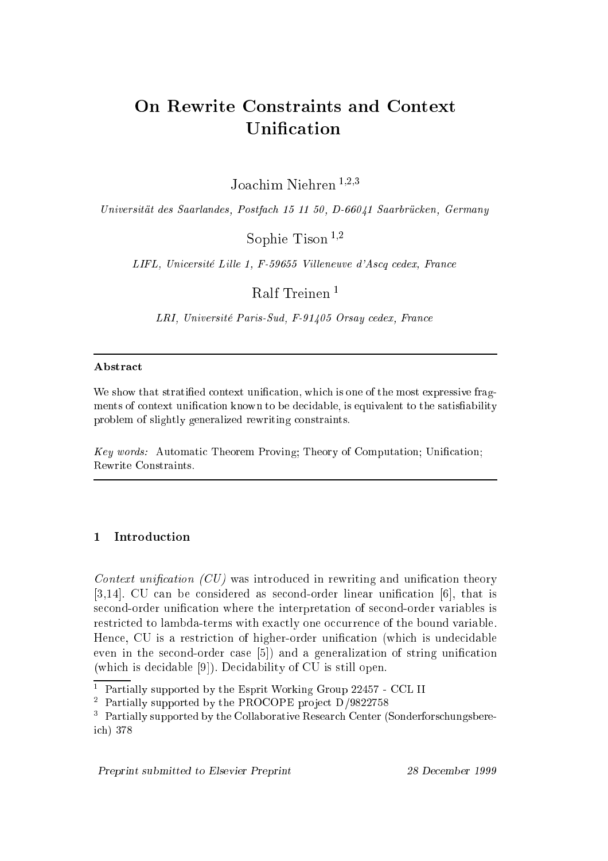## **On Rewrite Constraints and Context** On Rewrite Constraints and Context Unification

Joachim Niehren  $^{1,2,3}$ 

Universität des Saarlandes, Postfach 15 11 50, D-66041 Saarbrücken, Germany

Sophie Tison  $^{1,2}$ 

LIFL, Unicersité Lille 1, F-59655 Villeneuve d'Ascq cedex, France

Ralf Treinen <sup>1</sup>

LRI, Université Paris-Sud, F-91405 Orsay cedex, France

## **Abstract**

We show that stratified context unification, which is one of the most expressive fragments of context unification known to be decidable, is equivalent to the satisfiability problem of slightly generalized rewriting constraints.

Key words: Automatic Theorem Proving; Theory of Computation; Unification; Rewrite Constraints.

### $\mathbf{1}$ **Introduction**

Context unification  $(CU)$  was introduced in rewriting and unification theory [3,14]. CU can be considered as second-order linear unification [6], that is second-order unification where the interpretation of second-order variables is restricted to lambda-terms with exactly one occurrence of the bound variable. Hence, CU is a restriction of higher-order unification (which is undecidable even in the second-order case  $[5]$  and a generalization of string unification  $(\text{which is decidable } [9])$ . Decidability of CU is still open.

<sup>1</sup> Partially supported by the Esprit Working Group 22457 - CCL II

<sup>2</sup> Partially supported by the PROCOPE pro je
t D/9822758

<sup>3</sup> Partially supported by the Collaborative Resear
h Center (Sonderfors
hungsberei
h) 378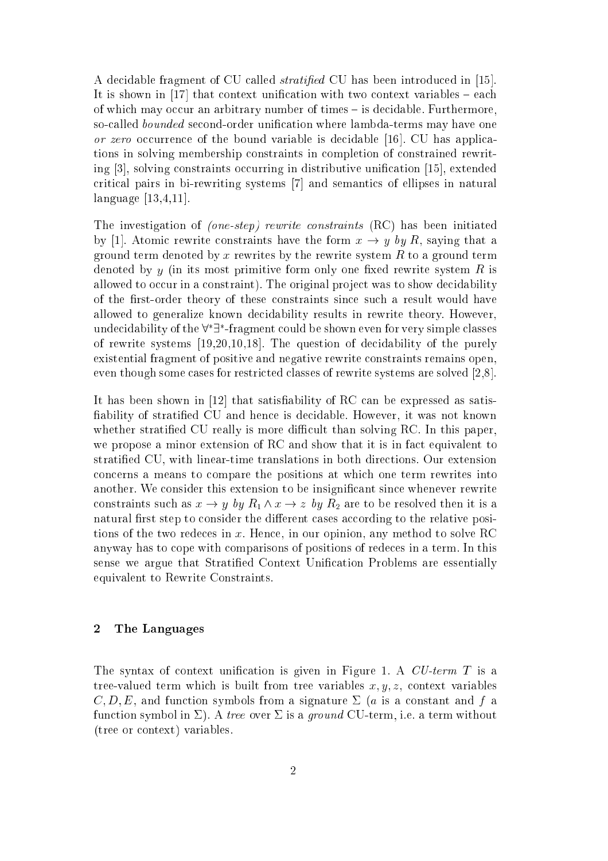A decidable fragment of CU called *stratified* CU has been introduced in [15]. It is shown in [17] that context unification with two context variables  $-$  each of which may occur an arbitrary number of times – is decidable. Furthermore, so-called *bounded* second-order unification where lambda-terms may have one or zero occurrence of the bound variable is decidable  $[16]$ . CU has applications in solving membership onstraints in ompletion of onstrained rewriting  $[3]$ , solving constraints occurring in distributive unification  $[15]$ , extended critical pairs in bi-rewriting systems [7] and semantics of ellipses in natural language  $[13,4,11]$ .

The investigation of *(one-step)* rewrite constraints (RC) has been initiated by [1]. Atomic rewrite constraints have the form  $x \to y$  by R, saying that a ground term denoted by x rewrites by the rewrite system  $R$  to a ground term denoted by  $y$  (in its most primitive form only one fixed rewrite system  $R$  is allowed to occur in a constraint). The original project was to show decidability of the first-order theory of these constraints since such a result would have allowed to generalize known de
idability results in rewrite theory. However, undecidability of the  $8\pm1$  -fragment could be shown even for very simple classes of rewrite systems  $[19,20,10,18]$ . The question of decidability of the purely existential fragment of positive and negative rewrite onstraints remains open, even though some cases for restricted classes of rewrite systems are solved  $[2,8]$ .

It has been shown in  $[12]$  that satisfiability of RC can be expressed as satisfiability of stratified CU and hence is decidable. However, it was not known whether stratified CU really is more difficult than solving RC. In this paper, we propose a minor extension of RC and show that it is in fact equivalent to stratied CU, with linear-time translations in both dire
tions. Our extension on
erns a means to ompare the positions at whi
h one term rewrites into another. We consider this extension to be insignificant since whenever rewrite constraints such as  $x \to y$  by  $R_1 \wedge x \to z$  by  $R_2$  are to be resolved then it is a natural first step to consider the different cases according to the relative positions of the two rede
es in x. Hen
e, in our opinion, any method to solve RC anyway has to cope with comparisons of positions of redeces in a term. In this sense we argue that Stratified Context Unification Problems are essentially equivalent to Rewrite Constraints.

#### 2The Languages

The syntax of context unification is given in Figure 1. A  $CU$ -term T is a tree-valued term which is built from tree variables  $x, y, z$ , context variables C; D; E, and fun
tion symbols from a signature (a is a onstant and <sup>f</sup> a function symbol in  $\Sigma$ ). A tree over  $\Sigma$  is a ground CU-term, i.e. a term without (tree or ontext) variables.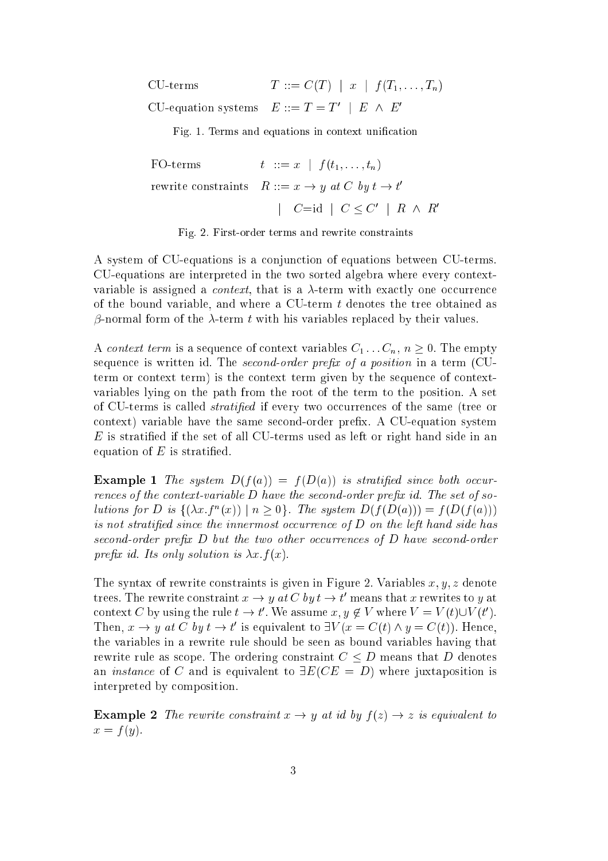| CU-terms | $T := C(T)   x   f(T_1, , T_n)$                  |
|----------|--------------------------------------------------|
|          | CU-equation systems $E ::= T = T'   E \wedge E'$ |

Fig. 1. Terms and equations in context unification

 $t := x \mid f(t_1, \ldots, t_n)$ FO-terms rewrite constraints  $R ::= x \rightarrow y$  at  $C$  by  $t \rightarrow t$  $j \in C = \{u \mid u \leq v \mid n \wedge n \}$ 

Fig. 2. First-order terms and rewrite onstraints

A system of CU-equations is a onjun
tion of equations between CU-terms. CU-equations are interpreted in the two sorted algebra where every ontextvariable is assigned a *context*, that is a  $\lambda$ -term with exactly one occurrence of the bound variable, and where a CU-term  $t$  denotes the tree obtained as  $\beta$ -normal form of the  $\lambda$ -term t with his variables replaced by their values.

A *context term* is a sequence of context variables  $C_1 \ldots C_n$ ,  $n \geq 0$ . The empty sequence is written id. The second-order prefix of a position in a term (CUterm or ontext term) is the ontext term given by the sequen
e of ontextvariables lying on the path from the root of the term to the position. A set of CU-terms is called *stratified* if every two occurrences of the same (tree or context) variable have the same second-order prefix. A CU-equation system E is stratied if the set of all CU-terms used as left or right hand side in an equation of  $E$  is stratified.

 $-$  and  $\mathbf{r}$  and  $\mathbf{r}$  is strating to the strating singletic singletic singletic singletic strating  $\mathbf{r}$ rences of the context-variable D have the second-order prefix id. The set of sotutions for D is  $\{(Xx, f)(x) | n \geq 0\}$ . The system  $D(f(D(a))) = f(D(f(a)))$ is not stratified since the innermost occurrence of  $D$  on the left hand side has second-order prefix  $D$  but the two other occurrences of  $D$  have second-order prefix id. Its only solution is  $\lambda x.f(x)$ .

The syntax of rewrite constraints is given in Figure 2. Variables  $x, y, z$  denote trees. The rewrite constraint  $x \to y$  at C by  $t \to t$  means that x rewrites to y at context  $C$  by using the rule  $t \to t$  . We assume  $x, y \notin V$  where  $V = V(t) \cup V(t)$ . I nen,  $x \to y$  at C by  $t \to t$  is equivalent to  $\exists v \ (x = C(t) \land y = C(t))$ . Hence, the variables in a rewrite rule should be seen as bound variables having that rewrite rule as scope. The ordering constraint  $C \leq D$  means that D denotes an *instance* of C and is equivalent to  $\exists E(CE = D)$  where juxtaposition is interpreted by omposition.

Example <sup>2</sup> The rewrite onstraint <sup>x</sup> ! <sup>y</sup> at id by <sup>f</sup> (z) ! <sup>z</sup> is equivalent to  $\cdots$   $\cdots$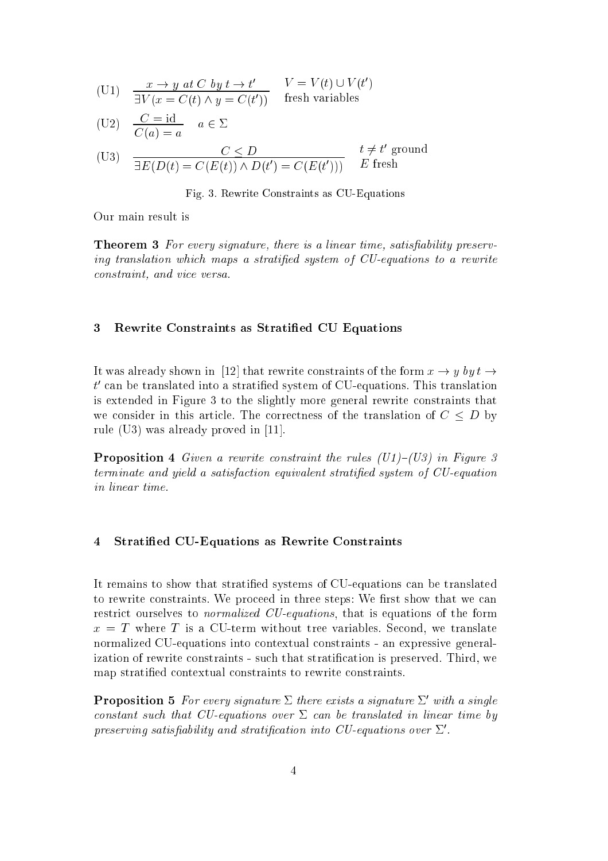$$
\begin{array}{lll} \text{(U1)} & \frac{x \to y \text{ at } C \text{ by } t \to t'}{\exists V(x = C(t) \land y = C(t'))} & V = V(t) \cup V(t')\\ \end{array}
$$

$$
(U2) \quad \frac{C = id}{C(a) = a} \quad a \in \Sigma
$$

$$
\text{(U3)} \quad \frac{C \le D}{\exists E(D(t) = C(E(t)) \land D(t') = C(E(t')))} \quad t \neq t' \text{ ground}
$$

Fig. 3. Rewrite Constraints as CU-Equations

Our main result is

Theorem 3 For every signature, the is a linear time, satisfactory, there is a linear time, satisfactory, satisfactory,  $\mathbf{r}_i$ ing translation which maps a stratified system of CU-equations to a rewrite constraint, and vice versa.

#### 3Rewrite Constraints as Stratied CU Equations

It was already shown in [12] that rewrite constraints of the form  $x \to y$  by  $t \to$  $\iota$  can be translated into a stratified system of CU-equations. This translation is extended in Figure 3 to the slightly more general rewrite onstraints that we consider in this article. The correctness of the translation of  $C \leq D$  by rule (U3) was already proved in  $[11]$ .

Proposition <sup>4</sup> Given a rewrite onstraint the rules (U1){(U3) in Figure 3 terminate and yield a satisfaction equivalent stratified system of CU-equation in linear time.

#### 4Stratied CU-Equations as Rewrite Constraints

It remains to show that stratied systems of CU-equations an be translated to rewrite constraints. We proceed in three steps: We first show that we can restrict ourselves to *normalized CU-equations*, that is equations of the form x = <sup>T</sup> where <sup>T</sup> is a CU-term without tree variables. Se
ond, we translate normalized CU-equations into ontextual onstraints - an expressive generalization of rewrite constraints - such that stratification is preserved. Third, we map stratied ontextual onstraints to rewrite onstraints.

**Proposition 5** For every signature  $\triangle$  there exists a signature  $\triangle$  with a single constant such that CU-equations over  $\Sigma$  can be translated in linear time by  $\emph{preserving satisfying}$  and stratification this CU-equations over  $\emph{\Delta}$  .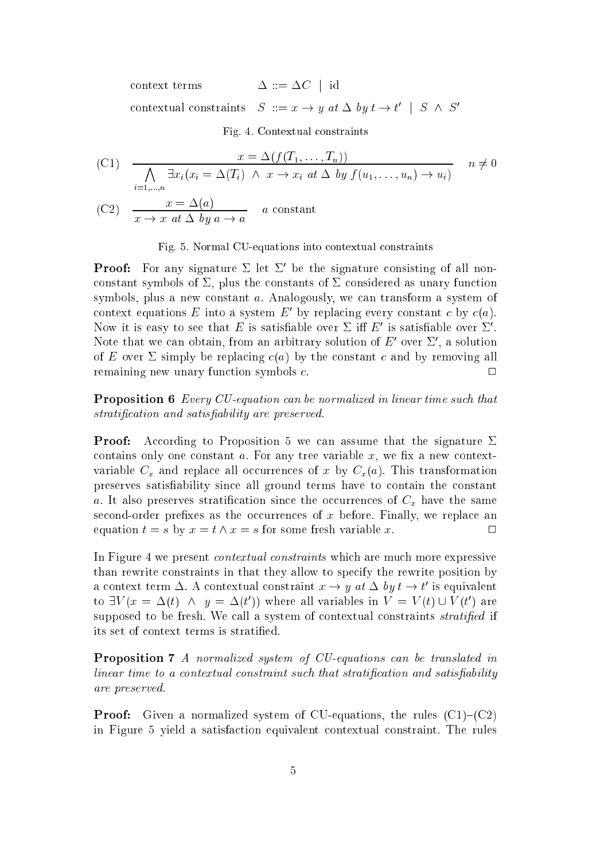$\Delta ::= \Delta C$  | id context terms contextual constraints  $S := x \rightarrow y$  at  $\Delta$  by  $\iota \rightarrow \iota + S \land S$ 

Fig. 4. Contextual onstraints

(C1) 
$$
\frac{x = \Delta(f(T_1, ..., T_n))}{\bigwedge_{i=1,...,n} \exists x_i (x_i = \Delta(T_i) \land x \to x_i \text{ at } \Delta \text{ by } f(u_1, ..., u_n) \to u_i)} \quad n \neq 0
$$

(C2) 
$$
\frac{x = \Delta(u)}{x \to x \text{ at } \Delta \text{ by } a \to a} \quad a \text{ constant}
$$

### Fig. 5. Normal CU-equations into ontextual onstraints

**Proof:** For any signature  $\vartriangle$  let  $\vartriangle$  be the signature consisting of all nonconstant symbols of  $\Sigma$ , plus the constants of  $\Sigma$  considered as unary function symbols, plus a new constant  $a$ . Analogously, we can transform a system of context equations  $E$  into a system  $E$  by replacing every constant  $c$  by  $c(a)$ . Now it is easy to see that  $E$  is satisfiable over  $\vartriangle$  in  $E$  is satisfiable over  $\vartriangle$  . Note that we can obtain, from an arbitrary solution of  $E$  over  $\vartriangle$  , a solution of E over  $\Sigma$  simply be replacing  $c(a)$  by the constant c and by removing all remaining new unary function symbols c.

Proposition <sup>6</sup> Every CU-equation an be normalized in linear time su
h that stratification and satisfiability are preserved.

Proof:According to Proposition 5 we can assume that the signature  $\Sigma$ contains only one constant  $a$ . For any tree variable  $x$ , we fix a new contextvariable  $C_x$  and replace all occurrences of x by  $C_x(a)$ . This transformation preserves satisfiability since all ground terms have to contain the constant a. It also preserves stratification since the occurrences of  $C_x$  have the same second-order prefixes as the occurrences of  $x$  before. Finally, we replace an equation  $t = s$  by  $x = t \wedge x = s$  for some fresh variable x.

In Figure 4 we present *contextual constraints* which are much more expressive than rewrite onstraints in that they allow to spe
ify the rewrite position by a context term  $\Delta$ . A contextual constraint  $x \to y$  at  $\Delta$  by  $\iota \to \iota$  is equivalent to  $\exists v \ (x = \Delta(v) \land y = \Delta(v))$  where all variables in  $v = v(v) \cup v(v)$  are supposed to be fresh. We call a system of contextual constraints *stratified* if its set of ontext terms is stratied.

Proposition <sup>7</sup> A normalized system of CU-equations an be translated in linear time to a contextual constraint such that stratification and satisfiability are preserved.

Proof: Given a normalized system of CU-equations, the rules (C1){(C2) in Figure 5 yield a satisfa
tion equivalent ontextual onstraint. The rules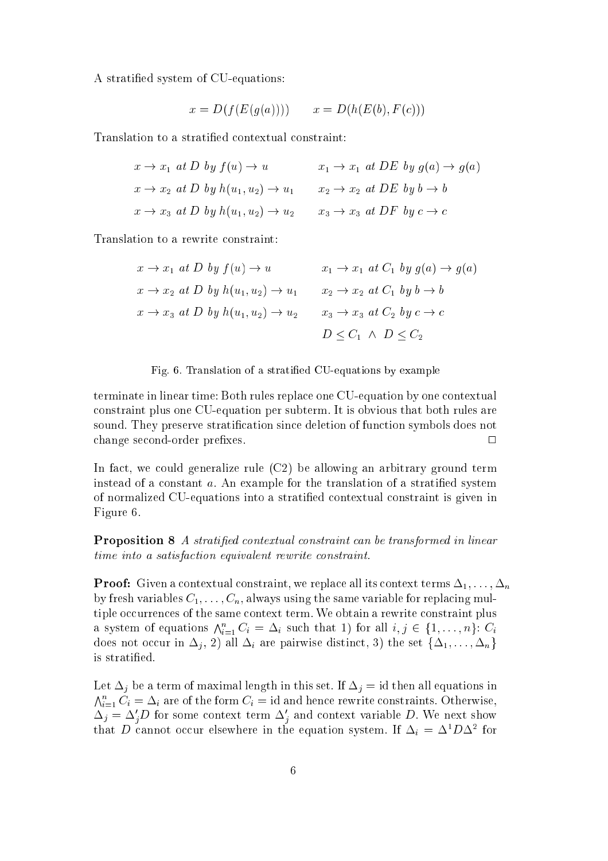A stratied system of CU-equations:

$$
x = D(f(E(g(a)))) \qquad x = D(h(E(b), F(c)))
$$

Translation to a stratied ontextual onstraint:

| $x \to x_1$ at D by $f(u) \to u$                          | $x_1 \rightarrow x_1$ at DE by $g(a) \rightarrow g(a)$ |
|-----------------------------------------------------------|--------------------------------------------------------|
| $x \rightarrow x_2$ at D by $h(u_1, u_2) \rightarrow u_1$ | $x_2 \rightarrow x_2$ at DE by $b \rightarrow b$       |
| $x \rightarrow x_3$ at D by $h(u_1, u_2) \rightarrow u_2$ | $x_3 \rightarrow x_3$ at DF by $c \rightarrow c$       |

Translation to a rewrite onstraint:

$$
x \to x_1 \text{ at } D \text{ by } f(u) \to u \qquad x_1 \to x_1 \text{ at } C_1 \text{ by } g(a) \to g(a)
$$
  

$$
x \to x_2 \text{ at } D \text{ by } h(u_1, u_2) \to u_1 \qquad x_2 \to x_2 \text{ at } C_1 \text{ by } b \to b
$$
  

$$
x \to x_3 \text{ at } D \text{ by } h(u_1, u_2) \to u_2 \qquad x_3 \to x_3 \text{ at } C_2 \text{ by } c \to c
$$
  

$$
D \leq C_1 \land D \leq C_2
$$

### Fig. 6. Translation of a stratied CU-equations by example

terminate in linear time: Both rules repla
e one CU-equation by one ontextual onstraint plus one CU-equation per subterm. It is obvious that both rules are sound. They preserve stratification since deletion of function symbols does not change second-order prefixes.  $\Box$ 

In fact, we could generalize rule (C2) be allowing an arbitrary ground term instead of a constant a. An example for the translation of a stratified system of normalized CU-equations into a stratied ontextual onstraint is given in Figure 6.

Proposition <sup>8</sup> A stratied ontextual onstraint an be transformed in linear time into a satisfa
tion equivalent rewrite onstraint.

Proof: Given <sup>a</sup> ontextual onstraint, we repla
e all its ontext terms 1; : : : ; n by fresh variables  $C_1, \ldots, C_n$ , always using the same variable for replacing multiple occurrences of the same context term. We obtain a rewrite constraint plus a system of equations  $\bigwedge_{i=1}^n C_i = \Delta_i$  such that 1) for all  $i,j \in \{1,\ldots,n\} \colon C_i$ does not occur in  $\Delta_j$ , 2) all  $\Delta_i$  are pairwise distinct, 3) the set  $\{\Delta_1,\ldots,\Delta_n\}$ is stratied.

Let  $\Delta_i$  be a term of maximal length in this set. If  $\Delta_i = id$  then all equations in  $\bigwedge_{i=1}^n C_i = \Delta_i$  are of the form  $C_i = \text{id}$  and hence rewrite constraints. Otherwise,  $\Delta_j = \Delta_j D$  for some context term  $\Delta_j$  and context variable D. We next show that D cannot occur eisewhere in the equation system. If  $\Delta_i = \Delta^2 D \Delta^2$  for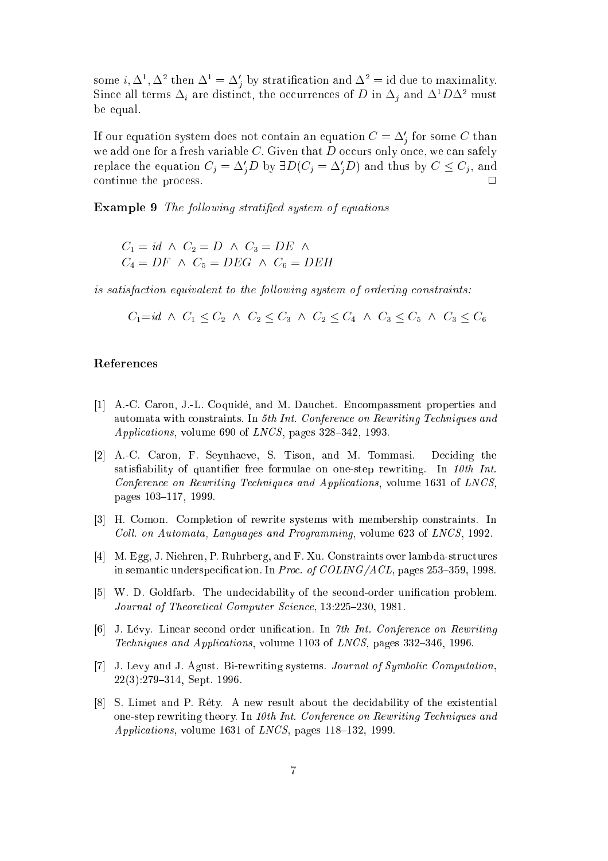some  $i, \Delta$ ,  $\Delta$  then  $\Delta_i = \Delta_i$  by stratification and  $\Delta_i = i$  due to maximality. Since all terms  $\Delta_i$  are distinct, the occurrences of D in  $\Delta_i$  and  $\Delta^1 D \Delta^2$  must be equal.

If our equation system does not contain an equation  $C \equiv \Delta_j^+$  for some  $C$  than we add one for a fresh variable  $C$ . Given that  $D$  occurs only once, we can safely replace the equation  $C_j = \Delta_j D$  by  $\exists D (C_j = \Delta_j D)$  and thus by  $C \leq C_j$ , and continue the process.

Example 9 The following stratification system of equations  $\mathcal{A}$  and the following system of equations of equations of equations of equations of equations of equations of equations of equations of equations of equation

$$
C_1 = id \land C_2 = D \land C_3 = DE \land
$$
  
\n
$$
C_4 = DF \land C_5 = DEG \land C_6 = DEH
$$

is satisfaction equivalent to the following system of ordering constraints:

 $C_1 = id \land C_1 < C_2 \land C_2 < C_3 \land C_2 < C_4 \land C_3 < C_5 \land C_3 < C_6$ 

- [1] A.-C. Caron, J.-L. Coquidé, and M. Dauchet. Encompassment properties and automata with constraints. In 5th Int. Conference on Rewriting Techniques and *Applications*, volume 690 of *LNCS*, pages  $328-342$ , 1993.
- [2] A.-C. Caron, F. Seynhaeve, S. Tison, and M. Tommasi. Deciding the satisfiability of quantifier free formulae on one-step rewriting. In  $10th$  Int. Conference on Rewriting Techniques and Applications, volume 1631 of LNCS, pages 103-117, 1999.
- [3] H. Comon. Completion of rewrite systems with membership constraints. In Coll. on Automata, Languages and Programming, volume 623 of LNCS, 1992.
- [4] M. Egg, J. Niehren, P. Ruhrberg, and F. Xu. Constraints over lambda-structures in semantic underspecification. In *Proc. of COLING/ACL*, pages  $253-359$ , 1998.
- [5] W. D. Goldfarb. The undecidability of the second-order unification problem. Journal of Theoretical Computer Science, 13:225-230, 1981.
- [6] J. Lévy. Linear second order unification. In 7th Int. Conference on Rewriting Techniques and Applications, volume 1103 of LNCS, pages 332-346, 1996.
- [7] J. Levy and J. Agust. Bi-rewriting systems. Journal of Symbolic Computation,  $22(3):279{-}314$ , Sept. 1996.
- $[8]$  S. Limet and P. Réty. A new result about the decidability of the existential one-step rewriting theory. In 10th Int. Conferen
e on Rewriting Te
hniques and  $Applications, volume 1631 of LNCS, pages 118–132, 1999.$